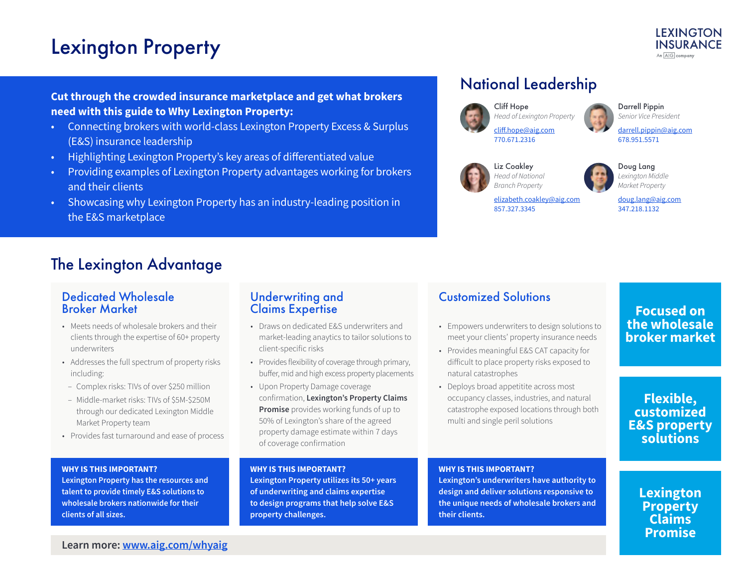# Lexington Property

## **Cut through the crowded insurance marketplace and get what brokers need with this guide to Why Lexington Property:**

- Connecting brokers with world-class Lexington Property Excess & Surplus (E&S) insurance leadership
- Highlighting Lexington Property's key areas of differentiated value
- Providing examples of Lexington Property advantages working for brokers and their clients
- Showcasing why Lexington Property has an industry-leading position in the E&S marketplace

# National Leadership



Cliff Hope *Head of Lexington Property* [cliff.hope@aig.com](mailto:cliff.hope%40aig.com?subject=) 770.671.2316



Darrell Pippin *Senior Vice President*

[darrell.pippin@aig.com](mailto:darrell.pippin%40aig.com?subject=) 678.951.5571



Liz Coakley *Head of National Branch Property*

857.327.3345



*Lexington Middle Market Property*

[elizabeth.coakley@aig.com](mailto:elizabeth.coakley%40aig.com?subject=)

#### [doug.lang@aig.com](mailto:doug.lang%40aig.com?subject=) 347.218.1132

# The Lexington Advantage

## Dedicated Wholesale Broker Market

- Meets needs of wholesale brokers and their clients through the expertise of 60+ property underwriters
- Addresses the full spectrum of property risks including:
- Complex risks: TIVs of over \$250 million
- Middle-market risks: TIVs of \$5M-\$250M through our dedicated Lexington Middle Market Property team
- Provides fast turnaround and ease of process

#### **WHY IS THIS IMPORTANT?**

**Lexington Property has the resources and talent to provide timely E&S solutions to wholesale brokers nationwide for their clients of all sizes.**

## Underwriting and Claims Expertise

- Draws on dedicated E&S underwriters and market-leading anaytics to tailor solutions to client-specific risks
- Provides flexibility of coverage through primary, buffer, mid and high excess property placements
- Upon Property Damage coverage confirmation, **Lexington's Property Claims Promise** provides working funds of up to 50% of Lexington's share of the agreed property damage estimate within 7 days of coverage confirmation

### **WHY IS THIS IMPORTANT? Lexington Property utilizes its 50+ years of underwriting and claims expertise to design programs that help solve E&S**

**property challenges.**

# Customized Solutions

- Empowers underwriters to design solutions to meet your clients' property insurance needs
- Provides meaningful E&S CAT capacity for difficult to place property risks exposed to natural catastrophes
- Deploys broad appetitite across most occupancy classes, industries, and natural catastrophe exposed locations through both multi and single peril solutions

### **WHY IS THIS IMPORTANT?**

**Lexington's underwriters have authority to design and deliver solutions responsive to the unique needs of wholesale brokers and their clients.**

# **Focused on the wholesale broker market**

**Flexible, customized E&S property solutions**

## **Lexington Property Claims Promise**